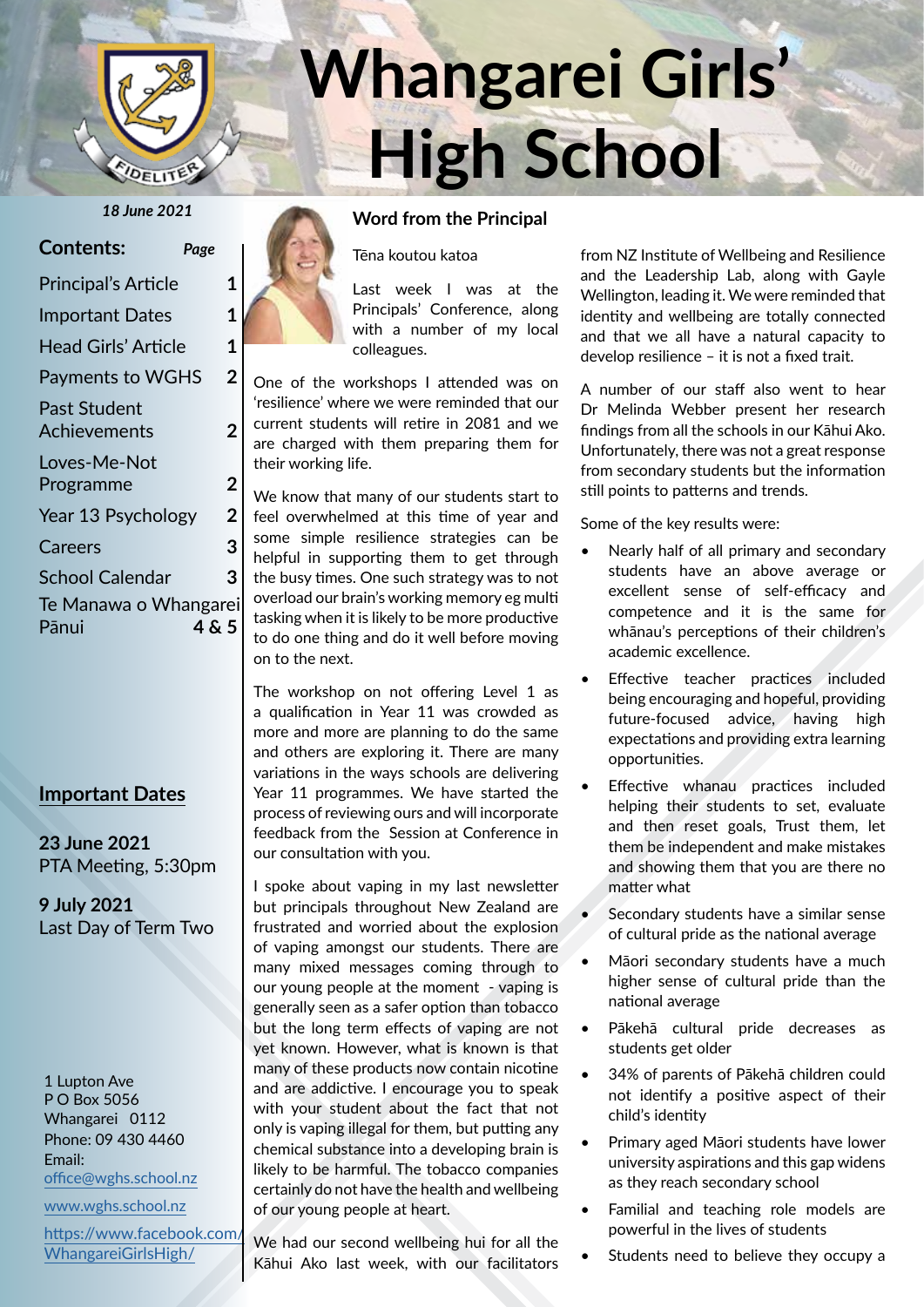

# **Whangarei Girls' High School**

| <b>Contents:</b><br>Page                |                |  |
|-----------------------------------------|----------------|--|
| <b>Principal's Article</b>              |                |  |
| Important Dates                         | 1              |  |
| Head Girls' Article                     | 1              |  |
| Payments to WGHS                        |                |  |
| Past Student<br>Achievements            |                |  |
| Loves-Me-Not<br>Programme               |                |  |
| Year 13 Psychology                      | $\overline{2}$ |  |
| Careers                                 | 3              |  |
| <b>School Calendar</b>                  | 3              |  |
| Te Manawa o Whangarei<br>4 & 5<br>Pānui |                |  |

# **Important Dates**

**23 June 2021** PTA Meeting, 5:30pm

**9 July 2021** Last Day of Term Two

1 Lupton Ave P O Box 5056 Whangarei 0112 Phone: 09 430 4460 Email: office@wghs.school.nz

www.wghs.school.nz

https://www.facebook.com/ WhangareiGirlsHigh/

# *18 June 2021* **Word from the Principal**

Tēna koutou katoa

Last week I was at the Principals' Conference, along with a number of my local colleagues.

One of the workshops I attended was on 'resilience' where we were reminded that our current students will retire in 2081 and we are charged with them preparing them for their working life.

We know that many of our students start to feel overwhelmed at this time of year and some simple resilience strategies can be helpful in supporting them to get through the busy times. One such strategy was to not overload our brain's working memory eg multi tasking when it is likely to be more productive to do one thing and do it well before moving on to the next.

The workshop on not offering Level 1 as a qualification in Year 11 was crowded as more and more are planning to do the same and others are exploring it. There are many variations in the ways schools are delivering Year 11 programmes. We have started the process of reviewing ours and will incorporate feedback from the Session at Conference in our consultation with you.

I spoke about vaping in my last newsletter but principals throughout New Zealand are frustrated and worried about the explosion of vaping amongst our students. There are many mixed messages coming through to our young people at the moment - vaping is generally seen as a safer option than tobacco but the long term effects of vaping are not yet known. However, what is known is that many of these products now contain nicotine and are addictive. I encourage you to speak with your student about the fact that not only is vaping illegal for them, but putting any chemical substance into a developing brain is likely to be harmful. The tobacco companies certainly do not have the health and wellbeing of our young people at heart.

We had our second wellbeing hui for all the Kāhui Ako last week, with our facilitators from NZ Institute of Wellbeing and Resilience and the Leadership Lab, along with Gayle Wellington, leading it. We were reminded that identity and wellbeing are totally connected and that we all have a natural capacity to develop resilience – it is not a fixed trait.

A number of our staff also went to hear Dr Melinda Webber present her research findings from all the schools in our Kāhui Ako. Unfortunately, there was not a great response from secondary students but the information still points to patterns and trends.

Some of the key results were:

- Nearly half of all primary and secondary students have an above average or excellent sense of self-efficacy and competence and it is the same for whānau's perceptions of their children's academic excellence.
- Effective teacher practices included being encouraging and hopeful, providing future-focused advice, having high expectations and providing extra learning opportunities.
- Effective whanau practices included helping their students to set, evaluate and then reset goals, Trust them, let them be independent and make mistakes and showing them that you are there no matter what
- Secondary students have a similar sense of cultural pride as the national average
- Māori secondary students have a much higher sense of cultural pride than the national average
- Pākehā cultural pride decreases as students get older
- 34% of parents of Pākehā children could not identify a positive aspect of their child's identity
- Primary aged Māori students have lower university aspirations and this gap widens as they reach secondary school
- Familial and teaching role models are powerful in the lives of students
- Students need to believe they occupy a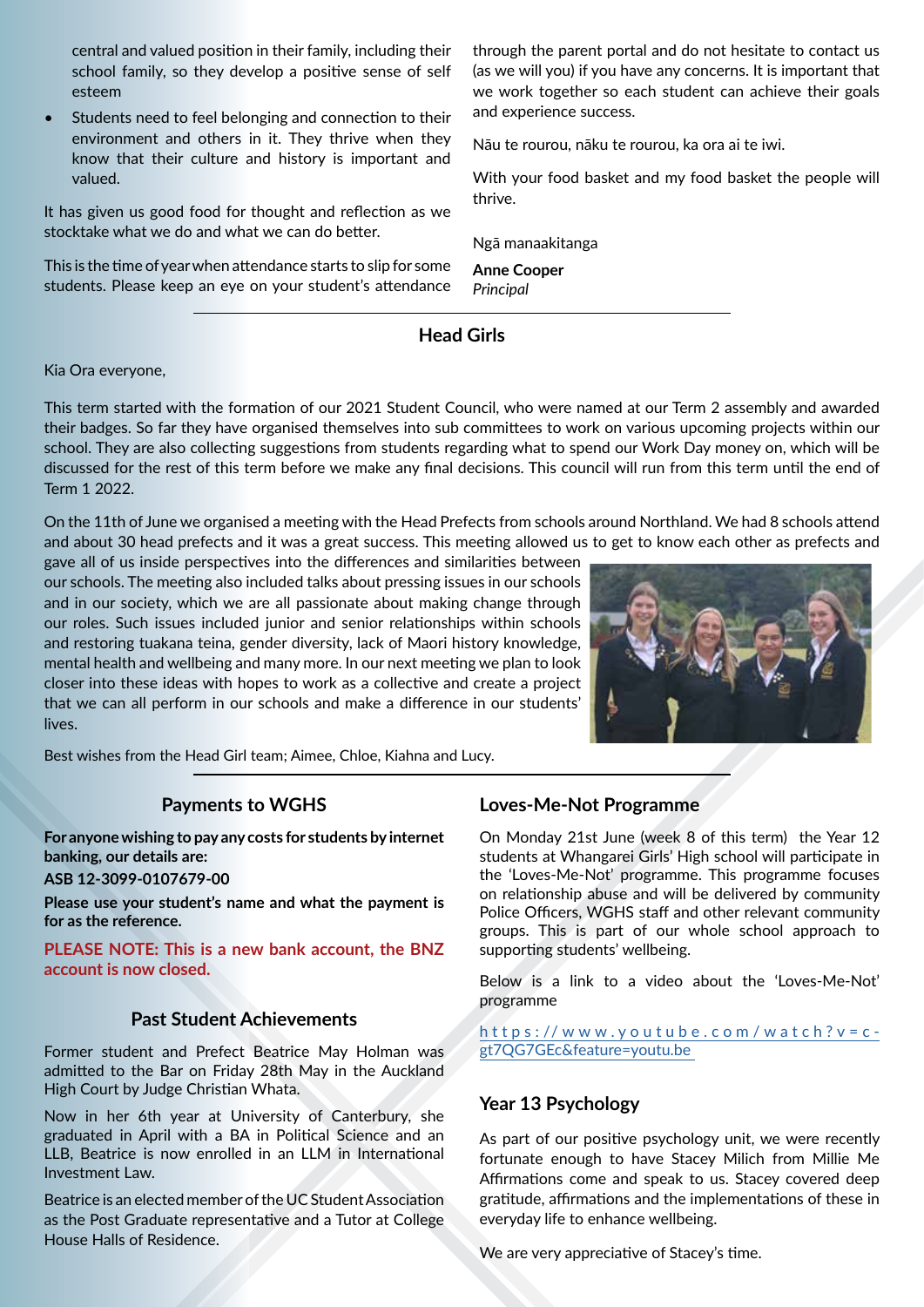central and valued position in their family, including their school family, so they develop a positive sense of self esteem

Students need to feel belonging and connection to their environment and others in it. They thrive when they know that their culture and history is important and valued.

It has given us good food for thought and reflection as we stocktake what we do and what we can do better.

This is the time of year when attendance starts to slip for some students. Please keep an eye on your student's attendance through the parent portal and do not hesitate to contact us (as we will you) if you have any concerns. It is important that we work together so each student can achieve their goals and experience success.

Nāu te rourou, nāku te rourou, ka ora ai te iwi.

With your food basket and my food basket the people will thrive.

Ngā manaakitanga

**Anne Cooper** *Principal*

# **Head Girls**

Kia Ora everyone,

This term started with the formation of our 2021 Student Council, who were named at our Term 2 assembly and awarded their badges. So far they have organised themselves into sub committees to work on various upcoming projects within our school. They are also collecting suggestions from students regarding what to spend our Work Day money on, which will be discussed for the rest of this term before we make any final decisions. This council will run from this term until the end of Term 1 2022.

On the 11th of June we organised a meeting with the Head Prefects from schools around Northland. We had 8 schools attend and about 30 head prefects and it was a great success. This meeting allowed us to get to know each other as prefects and

gave all of us inside perspectives into the differences and similarities between our schools. The meeting also included talks about pressing issues in our schools and in our society, which we are all passionate about making change through our roles. Such issues included junior and senior relationships within schools and restoring tuakana teina, gender diversity, lack of Maori history knowledge, mental health and wellbeing and many more. In our next meeting we plan to look closer into these ideas with hopes to work as a collective and create a project that we can all perform in our schools and make a difference in our students' lives.



Best wishes from the Head Girl team; Aimee, Chloe, Kiahna and Lucy.

#### **Payments to WGHS**

**For anyone wishing to pay any costs for students by internet banking, our details are:**

**ASB 12-3099-0107679-00**

**Please use your student's name and what the payment is for as the reference.**

**PLEASE NOTE: This is a new bank account, the BNZ account is now closed.**

#### **Past Student Achievements**

Former student and Prefect Beatrice May Holman was admitted to the Bar on Friday 28th May in the Auckland High Court by Judge Christian Whata.

Now in her 6th year at University of Canterbury, she graduated in April with a BA in Political Science and an LLB, Beatrice is now enrolled in an LLM in International Investment Law.

Beatrice is an elected member of the UC Student Association as the Post Graduate representative and a Tutor at College House Halls of Residence.

# **Loves-Me-Not Programme**

On Monday 21st June (week 8 of this term) the Year 12 students at Whangarei Girls' High school will participate in the 'Loves-Me-Not' programme. This programme focuses on relationship abuse and will be delivered by community Police Officers, WGHS staff and other relevant community groups. This is part of our whole school approach to supporting students' wellbeing.

Below is a link to a video about the 'Loves-Me-Not' programme

https://www.youtube.com/watch?v=cgt7QG7GEc&feature=youtu.be

# **Year 13 Psychology**

As part of our positive psychology unit, we were recently fortunate enough to have Stacey Milich from Millie Me Affirmations come and speak to us. Stacey covered deep gratitude, affirmations and the implementations of these in everyday life to enhance wellbeing.

We are very appreciative of Stacey's time.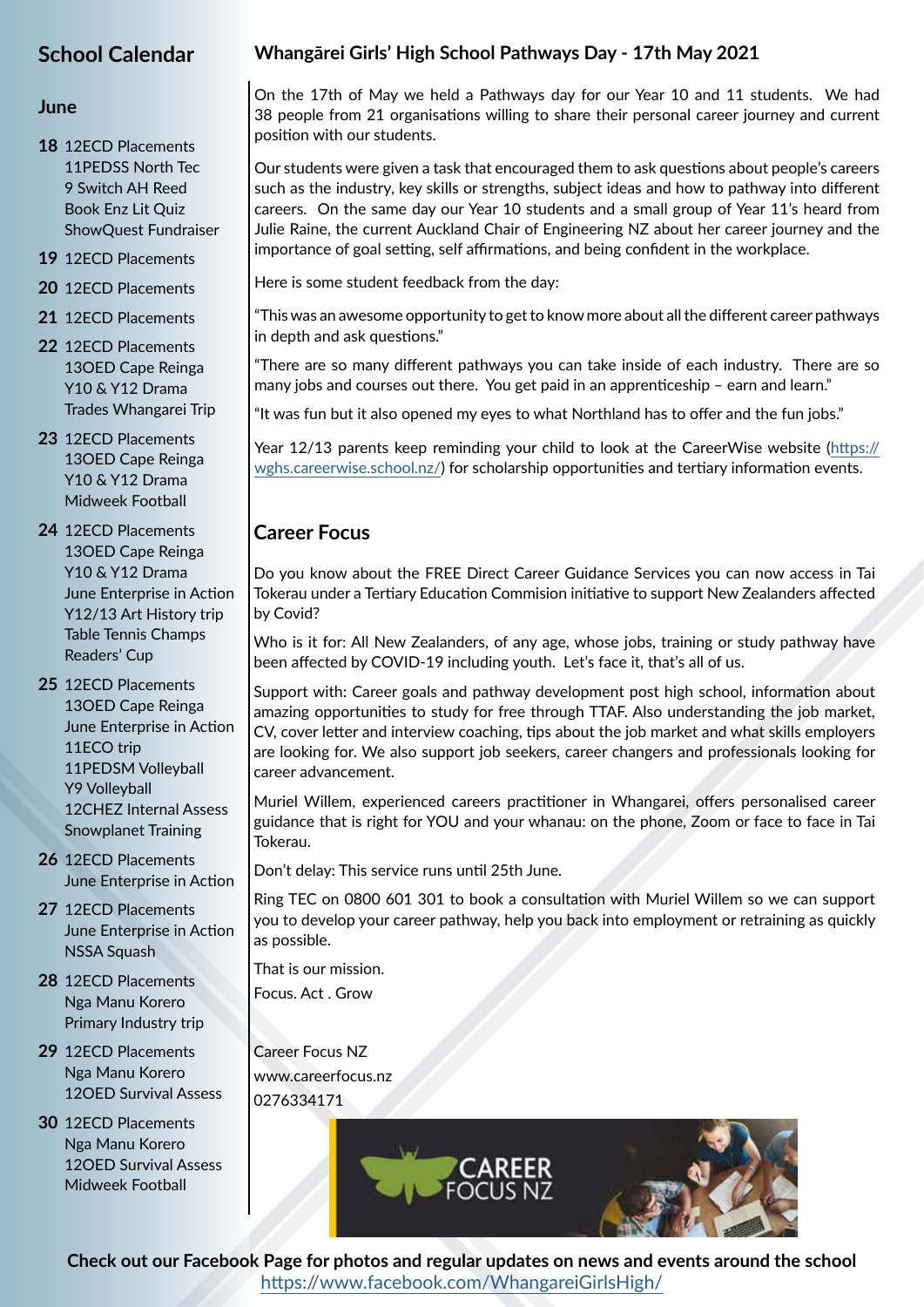# **School Calendar**

# **June**

- **18** 12ECD Placements 11PEDSS North Tec 9 Switch AH Reed Book Enz Lit Quiz ShowQuest Fundraiser
- **19** 12ECD Placements
- **20** 12ECD Placements
- **21** 12ECD Placements
- **22** 12ECD Placements 13OED Cape Reinga Y10 & Y12 Drama Trades Whangarei Trip
- **23** 12ECD Placements 13OED Cape Reinga Y10 & Y12 Drama Midweek Football
- **24** 12ECD Placements 13OED Cape Reinga Y10 & Y12 Drama June Enterprise in Action Y12/13 Art History trip Table Tennis Champs Readers' Cup
- **25** 12ECD Placements 13OED Cape Reinga June Enterprise in Action 11ECO trip 11PEDSM Volleyball Y9 Volleyball 12CHEZ Internal Assess Snowplanet Training
- **26** 12ECD Placements June Enterprise in Action
- **27** 12ECD Placements June Enterprise in Action NSSA Squash
- **28** 12ECD Placements Nga Manu Korero Primary Industry trip
- **29** 12ECD Placements Nga Manu Korero 12OED Survival Assess
- **30** 12ECD Placements Nga Manu Korero 12OED Survival Assess Midweek Football

# **Whangārei Girls' High School Pathways Day - 17th May 2021**

On the 17th of May we held a Pathways day for our Year 10 and 11 students. We had 38 people from 21 organisations willing to share their personal career journey and current position with our students.

Our students were given a task that encouraged them to ask questions about people's careers such as the industry, key skills or strengths, subject ideas and how to pathway into different careers. On the same day our Year 10 students and a small group of Year 11's heard from Julie Raine, the current Auckland Chair of Engineering NZ about her career journey and the importance of goal setting, self affirmations, and being confident in the workplace.

Here is some student feedback from the day:

"This was an awesome opportunity to get to know more about all the different career pathways in depth and ask questions."

"There are so many different pathways you can take inside of each industry. There are so many jobs and courses out there. You get paid in an apprenticeship – earn and learn."

"It was fun but it also opened my eyes to what Northland has to offer and the fun jobs."

Year 12/13 parents keep reminding your child to look at the CareerWise website (https:// wghs.careerwise.school.nz/) for scholarship opportunities and tertiary information events.

# **Career Focus**

Do you know about the FREE Direct Career Guidance Services you can now access in Tai Tokerau under a Tertiary Education Commision initiative to support New Zealanders affected by Covid?

Who is it for: All New Zealanders, of any age, whose jobs, training or study pathway have been affected by COVID-19 including youth. Let's face it, that's all of us.

Support with: Career goals and pathway development post high school, information about amazing opportunities to study for free through TTAF. Also understanding the job market, CV, cover letter and interview coaching, tips about the job market and what skills employers are looking for. We also support job seekers, career changers and professionals looking for career advancement.

Muriel Willem, experienced careers practitioner in Whangarei, offers personalised career guidance that is right for YOU and your whanau: on the phone, Zoom or face to face in Tai Tokerau.

Don't delay: This service runs until 25th June.

Ring TEC on 0800 601 301 to book a consultation with Muriel Willem so we can support you to develop your career pathway, help you back into employment or retraining as quickly as possible.

That is our mission.

Focus. Act . Grow

Career Focus NZ www.careerfocus.nz 0276334171



**Check out our Facebook Page for photos and regular updates on news and events around the school** https://www.facebook.com/WhangareiGirlsHigh/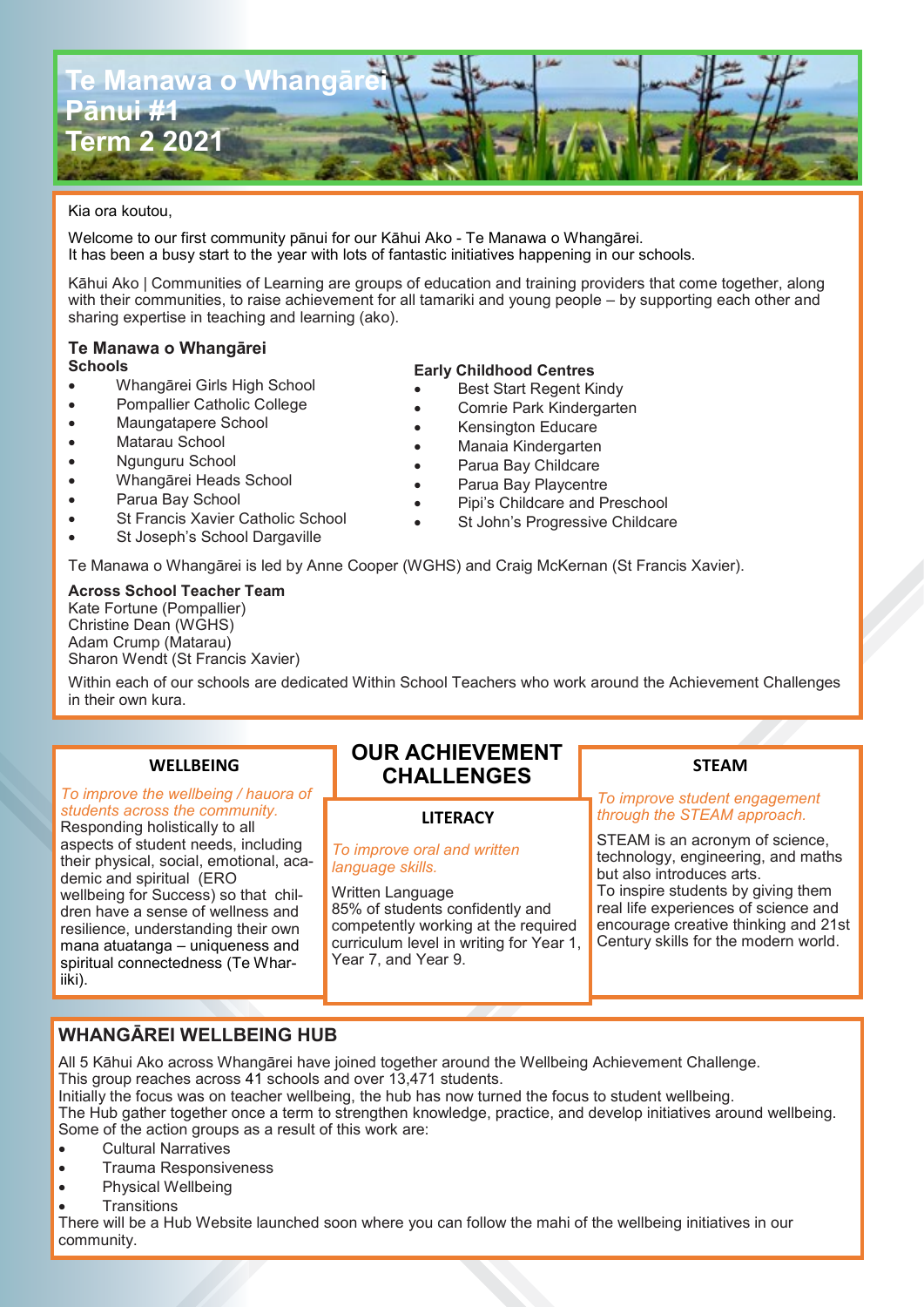

#### Kia ora koutou,

Welcome to our first community pānui for our Kāhui Ako - Te Manawa o Whangārei. It has been a busy start to the year with lots of fantastic initiatives happening in our schools.

Kāhui Ako | Communities of Learning are groups of education and training providers that come together, along with their communities, to raise achievement for all tamariki and young people – by supporting each other and sharing expertise in teaching and learning (ako).

#### **Te Manawa o Whangārei Schools**

- Whangārei Girls High School
- Pompallier Catholic College
- Maungatapere School
- Matarau School
- Ngunguru School
- Whangārei Heads School
- Parua Bay School
- St Francis Xavier Catholic School
- St Joseph's School Dargaville

#### **Early Childhood Centres**

- Best Start Regent Kindy
- Comrie Park Kindergarten
- Kensington Educare
- Manaia Kindergarten
- Parua Bay Childcare
- Parua Bay Playcentre
- Pipi's Childcare and Preschool
- St John's Progressive Childcare

Te Manawa o Whangārei is led by Anne Cooper (WGHS) and Craig McKernan (St Francis Xavier).

#### **Across School Teacher Team**

Kate Fortune (Pompallier) Christine Dean (WGHS) Adam Crump (Matarau) Sharon Wendt (St Francis Xavier)

Within each of our schools are dedicated Within School Teachers who work around the Achievement Challenges in their own kura.

| <b>WELLBEING</b> |  |  |  |
|------------------|--|--|--|
|------------------|--|--|--|

#### *To improve the wellbeing / hauora of*

*students across the community.* Responding holistically to all aspects of student needs, including their physical, social, emotional, academic and spiritual (ERO wellbeing for Success) so that children have a sense of wellness and resilience, understanding their own mana atuatanga – uniqueness and spiritual connectedness (Te Whariiki).

# **OUR ACHIEVEMENT CHALLENGES**

#### **LITERACY**

#### *To improve oral and written language skills.*

Written Language 85% of students confidently and competently working at the required curriculum level in writing for Year 1, Year 7, and Year 9.

#### **STEAM**

#### *To improve student engagement through the STEAM approach.*

STEAM is an acronym of science, technology, engineering, and maths but also introduces arts. To inspire students by giving them real life experiences of science and encourage creative thinking and 21st Century skills for the modern world.

# **WHANGĀREI WELLBEING HUB**

All 5 Kāhui Ako across Whangārei have joined together around the Wellbeing Achievement Challenge. This group reaches across 41 schools and over 13,471 students.

Initially the focus was on teacher wellbeing, the hub has now turned the focus to student wellbeing.

The Hub gather together once a term to strengthen knowledge, practice, and develop initiatives around wellbeing. Some of the action groups as a result of this work are:

- Cultural Narratives
- Trauma Responsiveness
- Physical Wellbeing
- **Transitions**

There will be a Hub Website launched soon where you can follow the mahi of the wellbeing initiatives in our community.